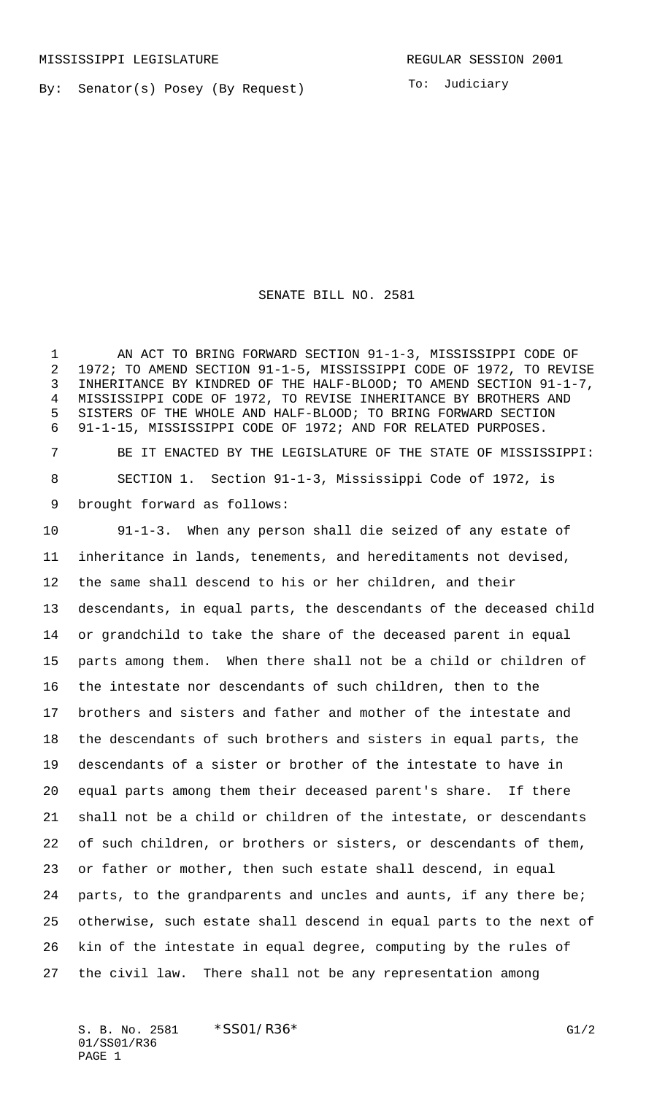By: Senator(s) Posey (By Request)

To: Judiciary

SENATE BILL NO. 2581

1 AN ACT TO BRING FORWARD SECTION 91-1-3, MISSISSIPPI CODE OF 1972; TO AMEND SECTION 91-1-5, MISSISSIPPI CODE OF 1972, TO REVISE INHERITANCE BY KINDRED OF THE HALF-BLOOD; TO AMEND SECTION 91-1-7, MISSISSIPPI CODE OF 1972, TO REVISE INHERITANCE BY BROTHERS AND SISTERS OF THE WHOLE AND HALF-BLOOD; TO BRING FORWARD SECTION 91-1-15, MISSISSIPPI CODE OF 1972; AND FOR RELATED PURPOSES.

 BE IT ENACTED BY THE LEGISLATURE OF THE STATE OF MISSISSIPPI: SECTION 1. Section 91-1-3, Mississippi Code of 1972, is brought forward as follows:

 91-1-3. When any person shall die seized of any estate of inheritance in lands, tenements, and hereditaments not devised, the same shall descend to his or her children, and their descendants, in equal parts, the descendants of the deceased child or grandchild to take the share of the deceased parent in equal parts among them. When there shall not be a child or children of the intestate nor descendants of such children, then to the brothers and sisters and father and mother of the intestate and the descendants of such brothers and sisters in equal parts, the descendants of a sister or brother of the intestate to have in equal parts among them their deceased parent's share. If there shall not be a child or children of the intestate, or descendants of such children, or brothers or sisters, or descendants of them, or father or mother, then such estate shall descend, in equal 24 parts, to the grandparents and uncles and aunts, if any there be; otherwise, such estate shall descend in equal parts to the next of kin of the intestate in equal degree, computing by the rules of the civil law. There shall not be any representation among

S. B. No. 2581 \* SS01/R36\* G1/2 01/SS01/R36 PAGE 1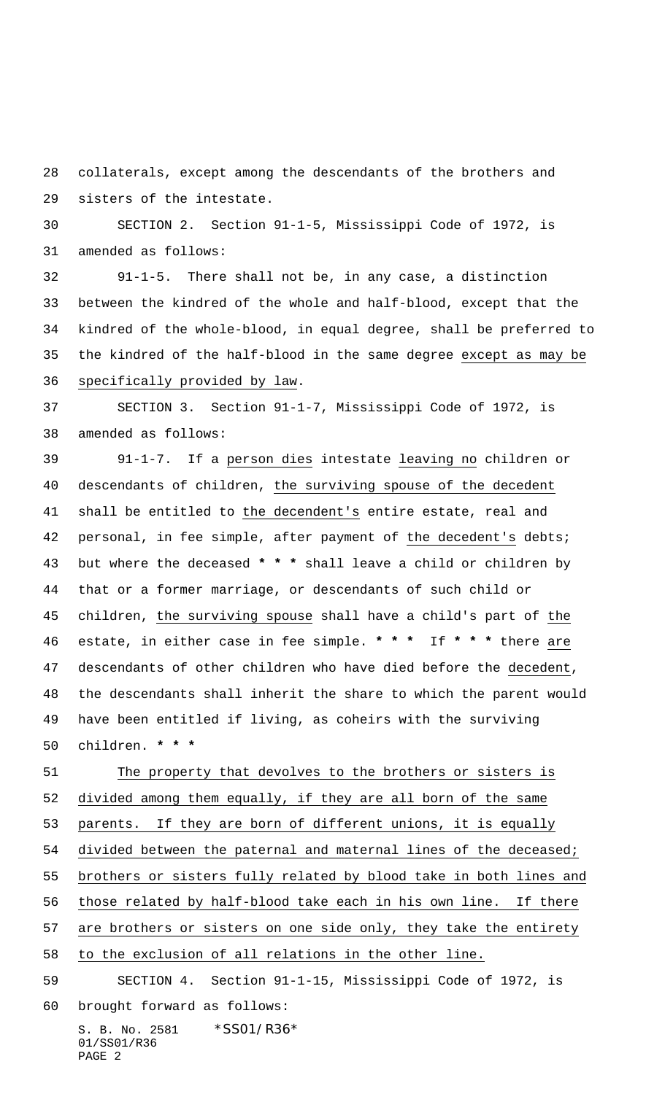collaterals, except among the descendants of the brothers and sisters of the intestate.

 SECTION 2. Section 91-1-5, Mississippi Code of 1972, is amended as follows:

 91-1-5. There shall not be, in any case, a distinction between the kindred of the whole and half-blood, except that the kindred of the whole-blood, in equal degree, shall be preferred to the kindred of the half-blood in the same degree except as may be specifically provided by law.

 SECTION 3. Section 91-1-7, Mississippi Code of 1972, is amended as follows:

 91-1-7. If a person dies intestate leaving no children or descendants of children, the surviving spouse of the decedent shall be entitled to the decendent's entire estate, real and 42 personal, in fee simple, after payment of the decedent's debts; but where the deceased **\* \* \*** shall leave a child or children by that or a former marriage, or descendants of such child or 45 children, the surviving spouse shall have a child's part of the estate, in either case in fee simple. **\* \* \*** If **\* \* \*** there are descendants of other children who have died before the decedent, the descendants shall inherit the share to which the parent would have been entitled if living, as coheirs with the surviving children. **\* \* \***

 The property that devolves to the brothers or sisters is divided among them equally, if they are all born of the same 53 parents. If they are born of different unions, it is equally divided between the paternal and maternal lines of the deceased; brothers or sisters fully related by blood take in both lines and those related by half-blood take each in his own line. If there are brothers or sisters on one side only, they take the entirety to the exclusion of all relations in the other line. SECTION 4. Section 91-1-15, Mississippi Code of 1972, is brought forward as follows:

S. B. No. 2581 \*SS01/R36\* 01/SS01/R36 PAGE 2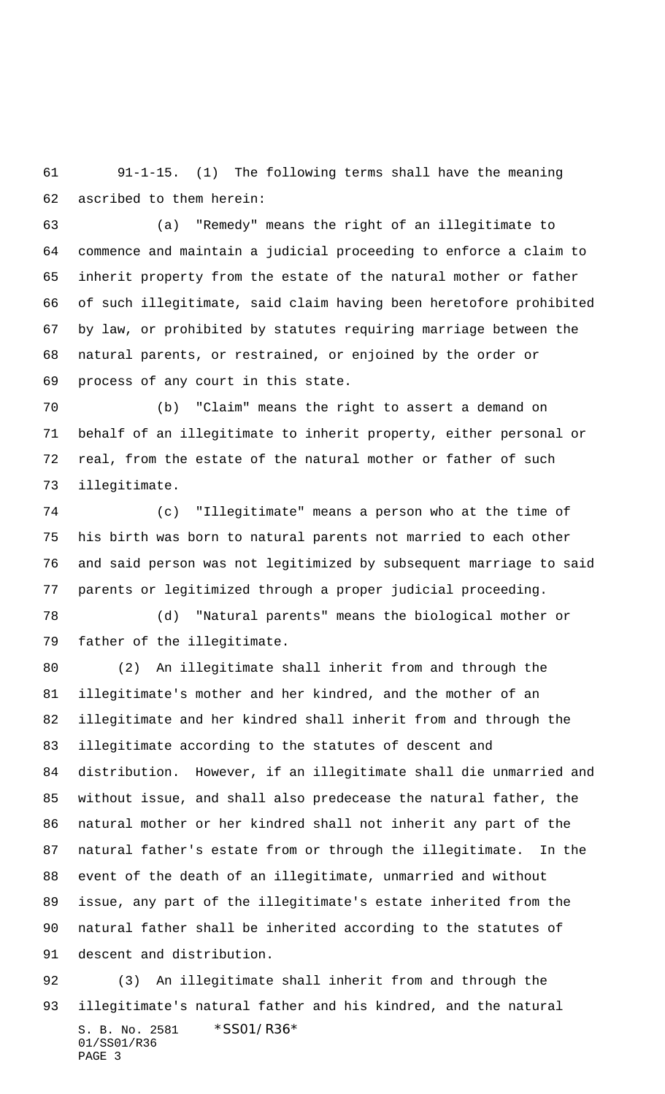91-1-15. (1) The following terms shall have the meaning ascribed to them herein:

 (a) "Remedy" means the right of an illegitimate to commence and maintain a judicial proceeding to enforce a claim to inherit property from the estate of the natural mother or father of such illegitimate, said claim having been heretofore prohibited by law, or prohibited by statutes requiring marriage between the natural parents, or restrained, or enjoined by the order or process of any court in this state.

 (b) "Claim" means the right to assert a demand on behalf of an illegitimate to inherit property, either personal or real, from the estate of the natural mother or father of such illegitimate.

 (c) "Illegitimate" means a person who at the time of his birth was born to natural parents not married to each other and said person was not legitimized by subsequent marriage to said parents or legitimized through a proper judicial proceeding.

 (d) "Natural parents" means the biological mother or father of the illegitimate.

 (2) An illegitimate shall inherit from and through the illegitimate's mother and her kindred, and the mother of an illegitimate and her kindred shall inherit from and through the illegitimate according to the statutes of descent and distribution. However, if an illegitimate shall die unmarried and without issue, and shall also predecease the natural father, the natural mother or her kindred shall not inherit any part of the natural father's estate from or through the illegitimate. In the event of the death of an illegitimate, unmarried and without issue, any part of the illegitimate's estate inherited from the natural father shall be inherited according to the statutes of descent and distribution.

S. B. No. 2581 \*SS01/R36\* 01/SS01/R36 PAGE 3 (3) An illegitimate shall inherit from and through the illegitimate's natural father and his kindred, and the natural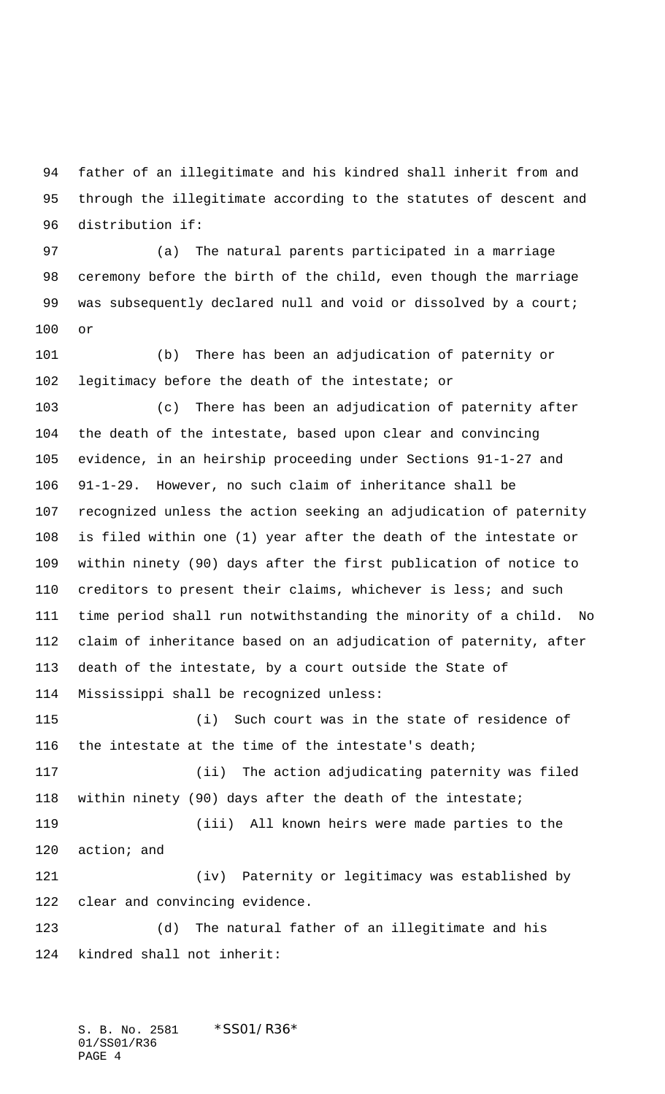father of an illegitimate and his kindred shall inherit from and through the illegitimate according to the statutes of descent and distribution if:

 (a) The natural parents participated in a marriage ceremony before the birth of the child, even though the marriage 99 was subsequently declared null and void or dissolved by a court; or

 (b) There has been an adjudication of paternity or legitimacy before the death of the intestate; or

 (c) There has been an adjudication of paternity after the death of the intestate, based upon clear and convincing evidence, in an heirship proceeding under Sections 91-1-27 and 91-1-29. However, no such claim of inheritance shall be recognized unless the action seeking an adjudication of paternity is filed within one (1) year after the death of the intestate or within ninety (90) days after the first publication of notice to creditors to present their claims, whichever is less; and such time period shall run notwithstanding the minority of a child. No claim of inheritance based on an adjudication of paternity, after death of the intestate, by a court outside the State of Mississippi shall be recognized unless:

 (i) Such court was in the state of residence of 116 the intestate at the time of the intestate's death; (ii) The action adjudicating paternity was filed within ninety (90) days after the death of the intestate; (iii) All known heirs were made parties to the action; and (iv) Paternity or legitimacy was established by clear and convincing evidence. (d) The natural father of an illegitimate and his

kindred shall not inherit:

S. B. No. 2581 \*SS01/R36\* 01/SS01/R36 PAGE 4